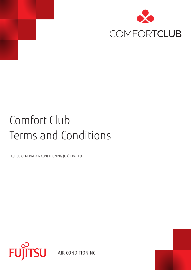

# Comfort Club Terms and Conditions

FUJITSU GENERAL AIR CONDITIONING (UK) LIMITED

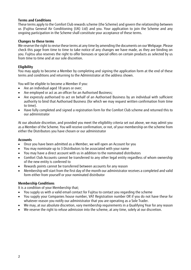#### **Terms and Conditions**

These terms apply to the Comfort Club rewards scheme (the Scheme) and govern the relationship between us (Fujitsu General Air Conditioning (UK) Ltd) and you. Your application to join the Scheme and any ongoing participation in the Scheme shall constitute your acceptance of these terms.

#### **Changes to these terms**

We reserve the right to revise these terms at any time by amending the documents on our Webpage. Please check this page from time to time to take notice of any changes we have made, as they are binding on you. Fujitsu also reserves the right to offer bonuses or special offers on certain products as selected by us from time to time and at our sole discretion.

## **Eligibility**

You may apply to become a Member by completing and signing the application form at the end of these terms and conditions and returning to the Administrator at the address shown.

You will be eligible to become a Member if you:

- Are an individual aged 18 years or over;
- Are employed or act as an officer for an Authorised Business;
- Are expressly authorised to act on behalf of an Authorised Business by an individual with sufficient authority to bind that Authorised Business (for which we may request written confirmation from time to time).
- Have fully completed and signed a registration form for the Comfort Club scheme and returned this to our administrator

At our absolute discretion, and provided you meet the eligibility criteria set out above, we may admit you as a Member of the Scheme. You will receive confirmation, or not, of your membership on the scheme from either the Distributors you have chosen or our administrator

#### **Accounts**

- Once you have been admitted as a Member, we will open an Account for you
- You may nominate up to 3 Distributors to be associated with your name
- You may have a direct account with us in addition to the nominated distributors
- Comfort Club Accounts cannot be transferred to any other legal entity regardless of whom ownership of the new entity is conferred to
- Rewards points cannot be transferred between accounts for any reason
- Membership will start from the first day of the month our administrator receives a completed and valid form either from yourself or your nominated distributor

#### **Membership Conditions**

It is a condition of your Membership that;

- You supply us with a valid email contact for Fujitsu to contact you regarding the scheme
- You supply your Companies house number, VAT Registration number OR if you do not have these for whatever reason you notify our administrator that you are operating as a Sole Trader.
- We may, at our absolute discretion, vary membership requirements in a Qualifying Year for any reason
- We reserve the right to refuse admission into the scheme, at any time, solely at our discretion.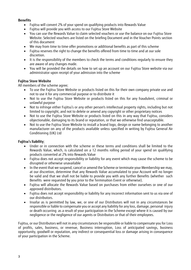## **Benefits**

- Fujitsu will convert 2% of your spend on qualifying products into Rewards Value
- Fujitsu will provide you with access to our Fujitsu Store Website
- You can use the Rewards Value to claim selected vouchers or use the balance on our Fujitsu Store Website. Selected vouchers are listed on the briefing Document and in the Voucher Points section of this document
- We may from time to time offer promotions or additional benefits as part of this scheme
- Fujitsu reserves the right to change the benefits offered from time to time and at our sole discretion.
- It is the responsibility of the members to check the terms and conditions regularly to ensure they are aware of any changes made.
- You will be provided the details on how to set up an account on our Fujitsu Store website via our administrator upon receipt of your admission into the scheme

# **Fujitsu Store Website**

All members of the scheme agree;

- To use the Fujitsu Store Website or products listed on this for their own company private use and not to use it for any commercial purpose or to distribute it
- Not to use the Fujitsu Store Website or products listed on this for any fraudulent, criminal or unlawful purpose
- Not to infringe either Fujitsu's or any other person's intellectual property rights, including but not limited to copyright, and not to delete or amend any copyright or other proprietary notices
- Not to use the Fujitsu Store Website or products listed on this in any way that Fujitsu, considers objectionable, damaging to its brand or reputation, or that we otherwise find unacceptable.
- Not to use the Fujitsu Store Website to install a brand logo, design or name belonging to another manufacturer on any of the products available unless specified in writing by Fujitsu General Air Conditioning (UK) Ltd

## **Fujitsu's liability**;

- Under or in connection with the scheme or these terms and conditions shall be limited to the Rewards Value, which, is calculated on a 12 months rolling period of your spend on qualifying products converted at 2% into Rewards Value
- Fujitsu does not accept responsibility or liability for any event which may cause the scheme to be disrupted or otherwise unavailable
- In the event that we suspend, cancel or amend the Scheme or terminate your Membership we may, at our discretion, determine that any Rewards Value accumulated to your Account will no longer be valid and that we shall not be liable to provide you with any further Benefits (whether such Benefits were requested by you prior to the Termination Event or otherwise).
- Fujitsu will allocate the Rewards Value based on purchases from either ourselves or one of our approved distributors.
- Fujitsu does not accept responsibility or liability for any incorrect information sent to us via one of our distributors.
- Insofar as is permitted by law, we, or one of our Distributors will not in any circumstances be responsible or liable to compensate you or accept any liability for any loss, damage, personal injury or death occurring as a result of your participation in the Scheme except where it is caused by our negligence or the negligence of our agents or Distributors or that of their employees.

Fujitsu, or our Distributors will not in any circumstances be responsible or liable to compensate you for Loss of profits, sales, business, or revenue, Business interruption, Loss of anticipated savings, business opportunity, goodwill or reputation, any indirect or consequential loss or damage arising in consequence of your participation in the Scheme.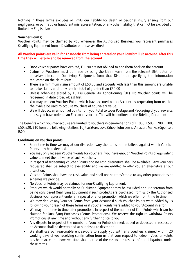Nothing in these terms excludes or limits our liability for death or personal injury arising from our negligence, or our fraud or fraudulent misrepresentation, or any other liability that cannot be excluded or limited by English law.

#### **Voucher Points;**

Voucher Points may be claimed by you whenever the Authorised Business you represent purchases Qualifying Equipment from a Distributor or ourselves direct.

#### **All Voucher points are valid for 12 months from being entered on your Comfort Club account. After this time they will expire and be removed from the account.**

- Once voucher points have expired, Fujitsu are not obliged to add them back on the account
- Claims for Vouchers must be made by using the Claim Form from the relevant Distributor, or ourselves direct, of Qualifying Equipment from that Distributor specifying the information requested on the claim form.
- There is a minimum claim amount of £50.00 and accounts with less than this amount are unable to make claims until they reach a total of greater than £50.00
- Unless otherwise stated by Fujitsu General Air Conditioning (UK) Ltd Voucher points will be redeemed in date order, oldest first.
- You may redeem Voucher Points which have accrued on an Account by requesting from us that their value be used to acquire Vouchers of equivalent value.
- We will deduct an amount of points from your total to cover Postage and Packaging of your rewards unless you have ordered an Electronic voucher. This will be outlined in the Briefing Document

The Benefits which you may acquire are limited to vouchers in denominations of £1000, £500, £200, £100, £50, £20, £10 from the following retailers: Fujitsu Store, Love2Shop, John Lewis, Amazon, Marks & Spencer, B&Q

#### **Conditions on voucher points**

- From time to time we may at our discretion vary the items, and retailers, against which Voucher Points may be redeemed.
- You may only redeem Voucher Points for vouchers if you have enough Voucher Points of equivalent value to meet the full value of such vouchers.
- In respect of redeeming Voucher Points and no cash alternative shall be available. Any vouchers requested shall be subject to availability and we are entitled to offer you an alternative at our discretion.
- Voucher Points shall have no cash value and shall not be transferable to any other promotions or schemes we provide.
- No Voucher Points may be claimed for non-Qualifying Equipment.
- Products which would normally be Qualifying Equipment may be excluded at our discretion from being considered Qualifying Equipment if such products are purchased from us by the Authorised Business you represent under any special offer or promotion which we offer from time to time.
- We may deduct any Voucher Points from your Account if such Voucher Points were added by us following your breach of these terms or if Voucher Points were added to your Account in error.
- We may from time to time offer promotions in respect of the number of Club Points which can be claimed for Qualifying Purchases (Points Promotions). We reserve the right to withdraw Points Promotions at any time and without any further notice to you.
- Any dispute in respect of the number of Voucher Points claimed, added or deducted in respect of an Account shall be determined at our absolute discretion.
- We shall use our reasonable endeavours to supply you with any vouchers claimed within 20 working days of you receiving confirmation from us that your request to redeem Voucher Points has been accepted, however time shall not be of the essence in respect of our obligations under these terms.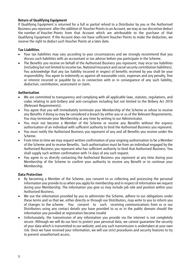# **Return of Qualifying Equipment**

If Qualifying Equipment is returned for a full or partial refund to a Distributor by you or the Authorised Business you represent after the addition of Voucher Points to an Account, we may at our discretion deduct the number of Voucher Points from that Account which are attributable to the purchase of that Qualifying Equipment. If the Account does not have sufficient Voucher Points to make the deduction, we reserve the right to deduct such Voucher Points at a later date.

## **Tax Liabilities**

- Your tax liabilities may vary according to your circumstances and we strongly recommend that you discuss such liabilities with an accountant or tax advisor before you participate in the Scheme.
- The Benefits you receive on behalf of the Authorised Business you represent; may incur tax liabilities (including but not limited to income tax, National Insurance and social security contribution liabilities). You acknowledge that any tax liability incurred in respect of benefits received by you shall be your responsibility. You agree to indemnify us against all reasonable costs, expenses and any penalty, fine or interest incurred or payable by us in connection with or in consequence of any such liability, deduction, contribution, assessment or claim.

## **Authorisation**

- We are committed to transparency and complying with all applicable laws, statutes, regulations, and codes relating to anti-bribery and anti-corruption including but not limited to the Bribery Act 2010 (Relevant Requirements).
- You agree that you will immediately terminate your Membership of the Scheme or refuse to receive any Benefits if doing so may be considered a breach by either you or us of the Relevant Requirements. You may terminate your Membership at any time by writing to our Administrator.
- You must not become a Member of the Scheme or receive any Benefits without the express authorisation of an individual with sufficient authority to bind the Authorised Business you represent.
- You must notify the Authorised Business you represent of any and all Benefits you receive under the Scheme.
- From time to time we may request written confirmation of your ongoing authorisation to be a Member of the Scheme and to receive Benefits. Such authorisation must be from an individual engaged by the Authorised Business you represent who has sufficient authority to bind that Authorised Business. You shall supply such written confirmation with 14 days of any such request.
- You agree to us directly contacting the Authorised Business you represent at any time during your Membership of the Scheme to confirm your authority to receive any Benefit or to continue your Membership.

## **Data Protection**

- By becoming a Member of the Scheme, you consent to us collecting and processing the personal information you provide to us when you apply for membership and in respect of information we request during your Membership. The information you give us may include job role and position within your Authorised Business.
- We use the information provided by you to administer the Scheme, adhere to our obligations under these terms and so that we, either directly or through our Distributors, may write to you to inform you of changes to the scheme. You consent to such receiving communications from us or our Distributors using any contact details you have provided to us or in the public domain should the information you provided at registration become invalid
- Unfortunately, the transmission of any information you provide via the internet is not completely secure. Although we will do our best to protect your personal data, we cannot guarantee the security of your data which is transmitted to our website; and any such transmission is undertaken at your own risk. Once we have received your information, we will use strict procedures and security features to try to prevent unauthorised access.